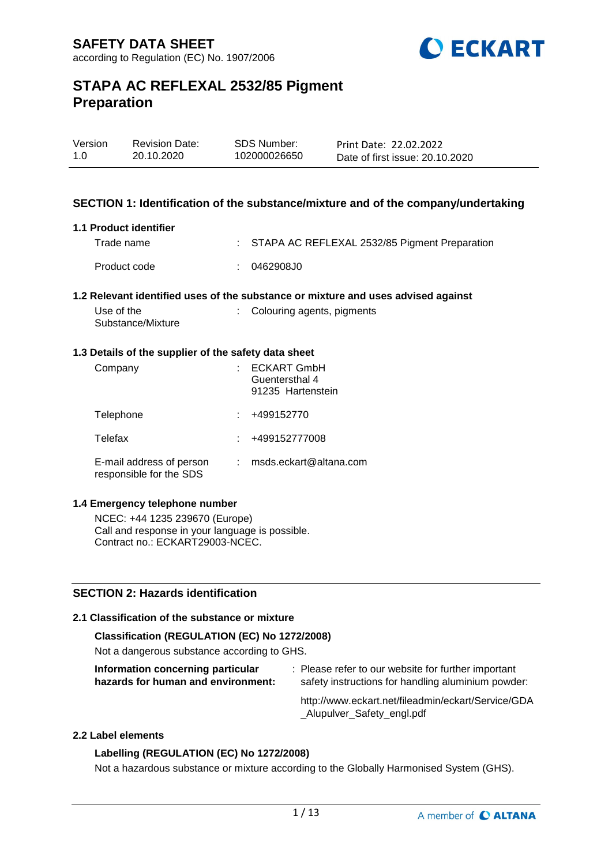

| Version | <b>Revision Date:</b> | SDS Number:  | Print Date: 22.02.2022          |
|---------|-----------------------|--------------|---------------------------------|
| 1.0     | 20.10.2020            | 102000026650 | Date of first issue: 20.10.2020 |
|         |                       |              |                                 |

### **SECTION 1: Identification of the substance/mixture and of the company/undertaking**

#### **1.1 Product identifier**

| Trade name   | : STAPA AC REFLEXAL 2532/85 Pigment Preparation |
|--------------|-------------------------------------------------|
| Product code | 0462908J0                                       |

### **1.2 Relevant identified uses of the substance or mixture and uses advised against**

| Use of the        | : Colouring agents, pigments |
|-------------------|------------------------------|
| Substance/Mixture |                              |

### **1.3 Details of the supplier of the safety data sheet**

| Company                                             | <b>ECKART GmbH</b><br>Guentersthal 4<br>91235 Hartenstein |
|-----------------------------------------------------|-----------------------------------------------------------|
| Telephone                                           | +499152770                                                |
| Telefax                                             | +499152777008                                             |
| E-mail address of person<br>responsible for the SDS | msds.eckart@altana.com                                    |

### **1.4 Emergency telephone number**

NCEC: +44 1235 239670 (Europe) Call and response in your language is possible. Contract no.: ECKART29003-NCEC.

### **SECTION 2: Hazards identification**

### **2.1 Classification of the substance or mixture**

### **Classification (REGULATION (EC) No 1272/2008)**

Not a dangerous substance according to GHS.

| Information concerning particular |                                    |
|-----------------------------------|------------------------------------|
|                                   | hazards for human and environment: |

: Please refer to our website for further important safety instructions for handling aluminium powder:

http://www.eckart.net/fileadmin/eckart/Service/GDA \_Alupulver\_Safety\_engl.pdf

### **2.2 Label elements**

### **Labelling (REGULATION (EC) No 1272/2008)**

Not a hazardous substance or mixture according to the Globally Harmonised System (GHS).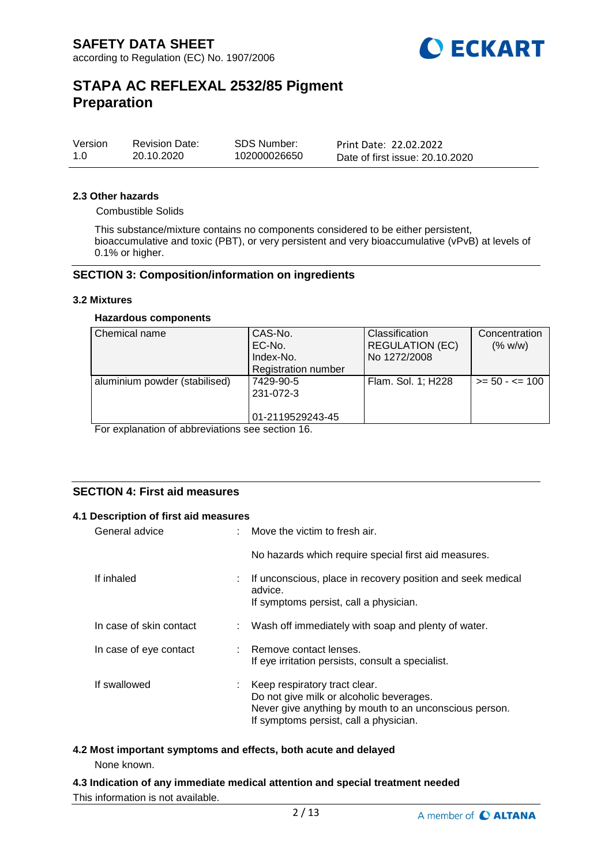

| Version | <b>Revision Date:</b> | SDS Number:  | Print Date: 22.02.2022          |
|---------|-----------------------|--------------|---------------------------------|
| 1.0     | 20.10.2020            | 102000026650 | Date of first issue: 20.10.2020 |

#### **2.3 Other hazards**

Combustible Solids

This substance/mixture contains no components considered to be either persistent, bioaccumulative and toxic (PBT), or very persistent and very bioaccumulative (vPvB) at levels of 0.1% or higher.

### **SECTION 3: Composition/information on ingredients**

#### **3.2 Mixtures**

### **Hazardous components**

| Chemical name                 | CAS-No.<br>EC-No.<br>Index-No.<br><b>Registration number</b> | <b>Classification</b><br><b>REGULATION (EC)</b><br>No 1272/2008 | Concentration<br>(% w/w) |
|-------------------------------|--------------------------------------------------------------|-----------------------------------------------------------------|--------------------------|
| aluminium powder (stabilised) | 7429-90-5<br>231-072-3<br>01-2119529243-45                   | Flam. Sol. 1; H228                                              | $>= 50 - 5 = 100$        |

For explanation of abbreviations see section 16.

# **SECTION 4: First aid measures**

#### **4.1 Description of first aid measures**

| General advice          |    | Move the victim to fresh air.                                                                                                                                                 |
|-------------------------|----|-------------------------------------------------------------------------------------------------------------------------------------------------------------------------------|
|                         |    | No hazards which require special first aid measures.                                                                                                                          |
| If inhaled              | ÷. | If unconscious, place in recovery position and seek medical<br>advice.<br>If symptoms persist, call a physician.                                                              |
| In case of skin contact |    | : Wash off immediately with soap and plenty of water.                                                                                                                         |
| In case of eye contact  |    | : Remove contact lenses.<br>If eye irritation persists, consult a specialist.                                                                                                 |
| If swallowed            | ÷. | Keep respiratory tract clear.<br>Do not give milk or alcoholic beverages.<br>Never give anything by mouth to an unconscious person.<br>If symptoms persist, call a physician. |

# **4.2 Most important symptoms and effects, both acute and delayed**

None known.

**4.3 Indication of any immediate medical attention and special treatment needed** This information is not available.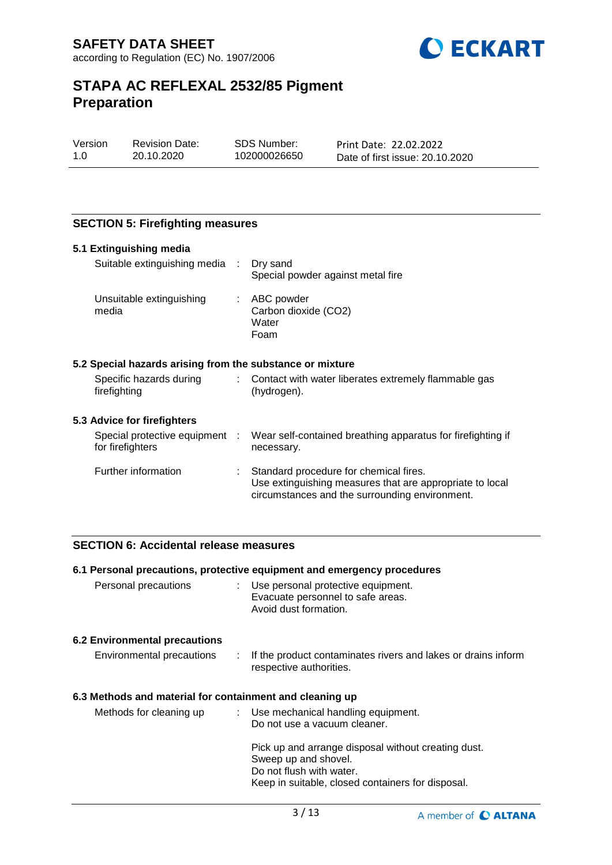

| Version | Revisio |
|---------|---------|
| 1.0     | 20.10.2 |

n Date: 2020

SDS Number: 102000026650

Print Date: 22.02.2022 Date of first issue: 20.10.2020

# **SECTION 5: Firefighting measures**

| 5.1 Extinguishing media                                   |    |                                                                                                                                                      |
|-----------------------------------------------------------|----|------------------------------------------------------------------------------------------------------------------------------------------------------|
| Suitable extinguishing media :                            |    | Dry sand<br>Special powder against metal fire                                                                                                        |
| Unsuitable extinguishing<br>media                         | t. | ABC powder<br>Carbon dioxide (CO2)<br>Water<br>Foam                                                                                                  |
| 5.2 Special hazards arising from the substance or mixture |    |                                                                                                                                                      |
| Specific hazards during<br>firefighting                   | t. | Contact with water liberates extremely flammable gas<br>(hydrogen).                                                                                  |
| 5.3 Advice for firefighters                               |    |                                                                                                                                                      |
| Special protective equipment :<br>for firefighters        |    | Wear self-contained breathing apparatus for firefighting if<br>necessary.                                                                            |
| Further information                                       |    | Standard procedure for chemical fires.<br>Use extinguishing measures that are appropriate to local<br>circumstances and the surrounding environment. |

### **SECTION 6: Accidental release measures**

# **6.1 Personal precautions, protective equipment and emergency procedures** Personal precautions : Use personal protective equipment. Evacuate personnel to safe areas. Avoid dust formation. **6.2 Environmental precautions** Environmental precautions : If the product contaminates rivers and lakes or drains inform respective authorities. **6.3 Methods and material for containment and cleaning up** Methods for cleaning up : Use mechanical handling equipment. Do not use a vacuum cleaner. Pick up and arrange disposal without creating dust. Sweep up and shovel. Do not flush with water. Keep in suitable, closed containers for disposal.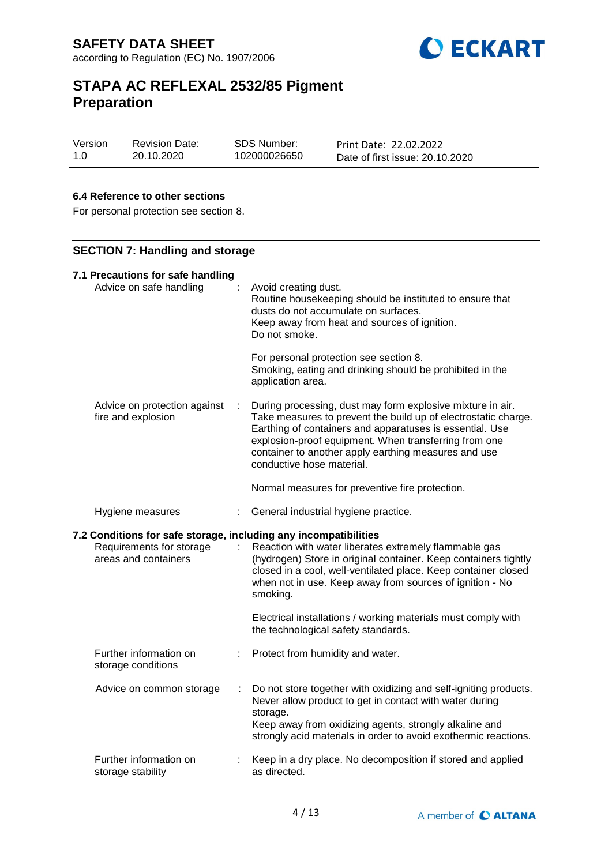

| Version | <b>Revision Date:</b> | SDS Number:  | Print Date: 22.02.2022          |
|---------|-----------------------|--------------|---------------------------------|
| 1.0     | 20.10.2020            | 102000026650 | Date of first issue: 20.10.2020 |

### **6.4 Reference to other sections**

For personal protection see section 8.

# **SECTION 7: Handling and storage**

| 7.1 Precautions for safe handling<br>Advice on safe handling                                                         |   | Avoid creating dust.<br>Routine housekeeping should be instituted to ensure that<br>dusts do not accumulate on surfaces.<br>Keep away from heat and sources of ignition.<br>Do not smoke.<br>For personal protection see section 8.<br>Smoking, eating and drinking should be prohibited in the<br>application area.                                                                      |
|----------------------------------------------------------------------------------------------------------------------|---|-------------------------------------------------------------------------------------------------------------------------------------------------------------------------------------------------------------------------------------------------------------------------------------------------------------------------------------------------------------------------------------------|
| Advice on protection against<br>fire and explosion                                                                   |   | During processing, dust may form explosive mixture in air.<br>Take measures to prevent the build up of electrostatic charge.<br>Earthing of containers and apparatuses is essential. Use<br>explosion-proof equipment. When transferring from one<br>container to another apply earthing measures and use<br>conductive hose material.<br>Normal measures for preventive fire protection. |
| Hygiene measures<br>÷                                                                                                |   | General industrial hygiene practice.                                                                                                                                                                                                                                                                                                                                                      |
| 7.2 Conditions for safe storage, including any incompatibilities<br>Requirements for storage<br>areas and containers | ÷ | Reaction with water liberates extremely flammable gas<br>(hydrogen) Store in original container. Keep containers tightly                                                                                                                                                                                                                                                                  |
|                                                                                                                      |   | closed in a cool, well-ventilated place. Keep container closed<br>when not in use. Keep away from sources of ignition - No<br>smoking.<br>Electrical installations / working materials must comply with<br>the technological safety standards.                                                                                                                                            |
| Further information on<br>storage conditions                                                                         | ÷ | Protect from humidity and water.                                                                                                                                                                                                                                                                                                                                                          |
| Advice on common storage                                                                                             |   | Do not store together with oxidizing and self-igniting products.<br>Never allow product to get in contact with water during<br>storage.<br>Keep away from oxidizing agents, strongly alkaline and<br>strongly acid materials in order to avoid exothermic reactions.                                                                                                                      |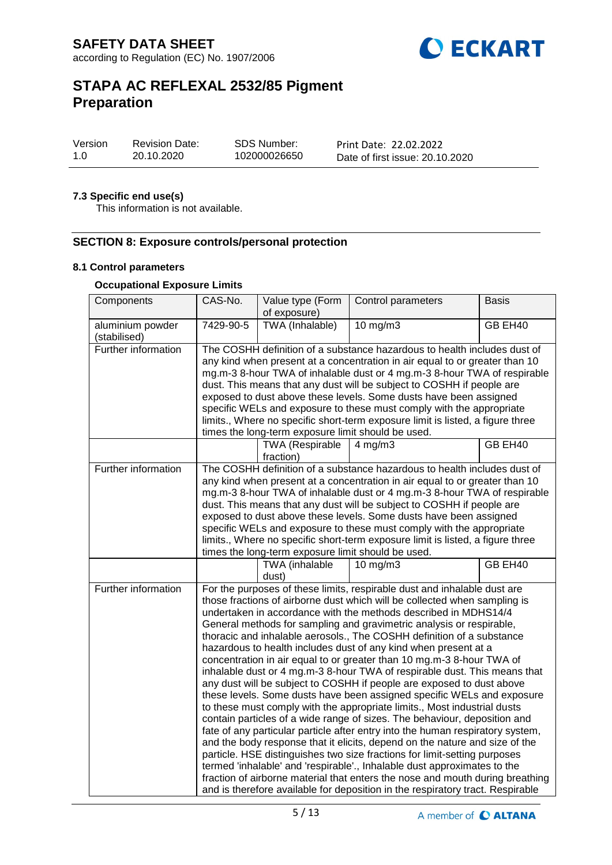

| Version | <b>Revision Date:</b> | SDS Number:  | Print Date: 22.02.2022          |
|---------|-----------------------|--------------|---------------------------------|
| -1.0    | 20.10.2020            | 102000026650 | Date of first issue: 20.10.2020 |

### **7.3 Specific end use(s)**

This information is not available.

# **SECTION 8: Exposure controls/personal protection**

### **8.1 Control parameters**

### **Occupational Exposure Limits**

| Components                                                                | CAS-No.<br>Value type (Form<br>of exposure)                                                                                                                                                                                                                                                                                                                                                                                                                                                                                                                                                                                                                                                                                                                                                                                                                                                                                                                                                                                                                                                                                                                                                                                                                                                                                                                                                                 |                                     | Control parameters                                                                                                                                                                                                                                                                                                                                                                                                                                                                                                                          | <b>Basis</b> |
|---------------------------------------------------------------------------|-------------------------------------------------------------------------------------------------------------------------------------------------------------------------------------------------------------------------------------------------------------------------------------------------------------------------------------------------------------------------------------------------------------------------------------------------------------------------------------------------------------------------------------------------------------------------------------------------------------------------------------------------------------------------------------------------------------------------------------------------------------------------------------------------------------------------------------------------------------------------------------------------------------------------------------------------------------------------------------------------------------------------------------------------------------------------------------------------------------------------------------------------------------------------------------------------------------------------------------------------------------------------------------------------------------------------------------------------------------------------------------------------------------|-------------------------------------|---------------------------------------------------------------------------------------------------------------------------------------------------------------------------------------------------------------------------------------------------------------------------------------------------------------------------------------------------------------------------------------------------------------------------------------------------------------------------------------------------------------------------------------------|--------------|
| aluminium powder<br>(stabilised)                                          | 7429-90-5                                                                                                                                                                                                                                                                                                                                                                                                                                                                                                                                                                                                                                                                                                                                                                                                                                                                                                                                                                                                                                                                                                                                                                                                                                                                                                                                                                                                   | TWA (Inhalable)                     | $10$ mg/m $3$                                                                                                                                                                                                                                                                                                                                                                                                                                                                                                                               | GB EH40      |
| Further information<br>times the long-term exposure limit should be used. |                                                                                                                                                                                                                                                                                                                                                                                                                                                                                                                                                                                                                                                                                                                                                                                                                                                                                                                                                                                                                                                                                                                                                                                                                                                                                                                                                                                                             |                                     | The COSHH definition of a substance hazardous to health includes dust of<br>any kind when present at a concentration in air equal to or greater than 10<br>mg.m-3 8-hour TWA of inhalable dust or 4 mg.m-3 8-hour TWA of respirable<br>dust. This means that any dust will be subject to COSHH if people are<br>exposed to dust above these levels. Some dusts have been assigned<br>specific WELs and exposure to these must comply with the appropriate<br>limits., Where no specific short-term exposure limit is listed, a figure three |              |
|                                                                           |                                                                                                                                                                                                                                                                                                                                                                                                                                                                                                                                                                                                                                                                                                                                                                                                                                                                                                                                                                                                                                                                                                                                                                                                                                                                                                                                                                                                             | <b>TWA (Respirable</b><br>fraction) | $4$ mg/m $3$                                                                                                                                                                                                                                                                                                                                                                                                                                                                                                                                | GB EH40      |
| Further information                                                       | The COSHH definition of a substance hazardous to health includes dust of<br>any kind when present at a concentration in air equal to or greater than 10<br>mg.m-3 8-hour TWA of inhalable dust or 4 mg.m-3 8-hour TWA of respirable<br>dust. This means that any dust will be subject to COSHH if people are<br>exposed to dust above these levels. Some dusts have been assigned<br>specific WELs and exposure to these must comply with the appropriate<br>limits., Where no specific short-term exposure limit is listed, a figure three<br>times the long-term exposure limit should be used.                                                                                                                                                                                                                                                                                                                                                                                                                                                                                                                                                                                                                                                                                                                                                                                                           |                                     |                                                                                                                                                                                                                                                                                                                                                                                                                                                                                                                                             |              |
|                                                                           |                                                                                                                                                                                                                                                                                                                                                                                                                                                                                                                                                                                                                                                                                                                                                                                                                                                                                                                                                                                                                                                                                                                                                                                                                                                                                                                                                                                                             | TWA (inhalable<br>dust)             | $10 \text{ mg/m}$                                                                                                                                                                                                                                                                                                                                                                                                                                                                                                                           | GB EH40      |
| Further information                                                       | For the purposes of these limits, respirable dust and inhalable dust are<br>those fractions of airborne dust which will be collected when sampling is<br>undertaken in accordance with the methods described in MDHS14/4<br>General methods for sampling and gravimetric analysis or respirable,<br>thoracic and inhalable aerosols., The COSHH definition of a substance<br>hazardous to health includes dust of any kind when present at a<br>concentration in air equal to or greater than 10 mg.m-3 8-hour TWA of<br>inhalable dust or 4 mg.m-3 8-hour TWA of respirable dust. This means that<br>any dust will be subject to COSHH if people are exposed to dust above<br>these levels. Some dusts have been assigned specific WELs and exposure<br>to these must comply with the appropriate limits., Most industrial dusts<br>contain particles of a wide range of sizes. The behaviour, deposition and<br>fate of any particular particle after entry into the human respiratory system,<br>and the body response that it elicits, depend on the nature and size of the<br>particle. HSE distinguishes two size fractions for limit-setting purposes<br>termed 'inhalable' and 'respirable'., Inhalable dust approximates to the<br>fraction of airborne material that enters the nose and mouth during breathing<br>and is therefore available for deposition in the respiratory tract. Respirable |                                     |                                                                                                                                                                                                                                                                                                                                                                                                                                                                                                                                             |              |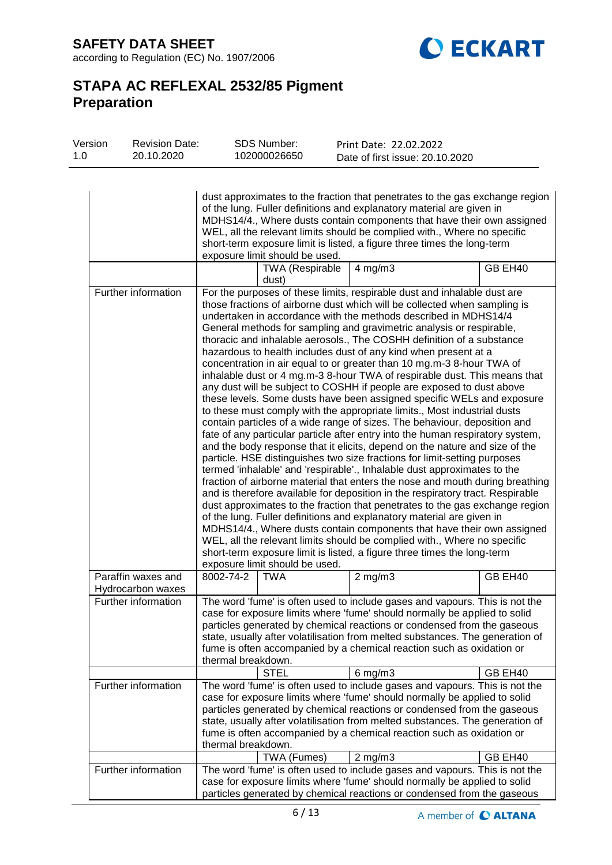**SAFETY DATA SHEET** according to Regulation (EC) No. 1907/2006



# **STAPA AC REFLEXAL 2532/85 Pigment Preparation**

| Version<br>1.0 | <b>Revision Date:</b><br>20.10.2020     | <b>SDS Number:</b><br>102000026650 | Print Date: 22.02.2022<br>Date of first issue: 20.10.2020                                                                                                                                                                                                                                                                                                                                                                                                                                                                                                                                                                                                                                                                                                                                                                                                                                                                                                                                                                                                                                                                                                                                                                                                                                                                                                                                                                                                                                                                                                                                                                                                                                                                                                                                             |         |
|----------------|-----------------------------------------|------------------------------------|-------------------------------------------------------------------------------------------------------------------------------------------------------------------------------------------------------------------------------------------------------------------------------------------------------------------------------------------------------------------------------------------------------------------------------------------------------------------------------------------------------------------------------------------------------------------------------------------------------------------------------------------------------------------------------------------------------------------------------------------------------------------------------------------------------------------------------------------------------------------------------------------------------------------------------------------------------------------------------------------------------------------------------------------------------------------------------------------------------------------------------------------------------------------------------------------------------------------------------------------------------------------------------------------------------------------------------------------------------------------------------------------------------------------------------------------------------------------------------------------------------------------------------------------------------------------------------------------------------------------------------------------------------------------------------------------------------------------------------------------------------------------------------------------------------|---------|
|                |                                         | exposure limit should be used.     | dust approximates to the fraction that penetrates to the gas exchange region<br>of the lung. Fuller definitions and explanatory material are given in<br>MDHS14/4., Where dusts contain components that have their own assigned<br>WEL, all the relevant limits should be complied with., Where no specific<br>short-term exposure limit is listed, a figure three times the long-term                                                                                                                                                                                                                                                                                                                                                                                                                                                                                                                                                                                                                                                                                                                                                                                                                                                                                                                                                                                                                                                                                                                                                                                                                                                                                                                                                                                                                |         |
|                |                                         | <b>TWA (Respirable</b><br>dust)    | $4$ mg/m $3$                                                                                                                                                                                                                                                                                                                                                                                                                                                                                                                                                                                                                                                                                                                                                                                                                                                                                                                                                                                                                                                                                                                                                                                                                                                                                                                                                                                                                                                                                                                                                                                                                                                                                                                                                                                          | GB EH40 |
|                | Further information                     | exposure limit should be used.     | For the purposes of these limits, respirable dust and inhalable dust are<br>those fractions of airborne dust which will be collected when sampling is<br>undertaken in accordance with the methods described in MDHS14/4<br>General methods for sampling and gravimetric analysis or respirable,<br>thoracic and inhalable aerosols., The COSHH definition of a substance<br>hazardous to health includes dust of any kind when present at a<br>concentration in air equal to or greater than 10 mg.m-3 8-hour TWA of<br>inhalable dust or 4 mg.m-3 8-hour TWA of respirable dust. This means that<br>any dust will be subject to COSHH if people are exposed to dust above<br>these levels. Some dusts have been assigned specific WELs and exposure<br>to these must comply with the appropriate limits., Most industrial dusts<br>contain particles of a wide range of sizes. The behaviour, deposition and<br>fate of any particular particle after entry into the human respiratory system,<br>and the body response that it elicits, depend on the nature and size of the<br>particle. HSE distinguishes two size fractions for limit-setting purposes<br>termed 'inhalable' and 'respirable'., Inhalable dust approximates to the<br>fraction of airborne material that enters the nose and mouth during breathing<br>and is therefore available for deposition in the respiratory tract. Respirable<br>dust approximates to the fraction that penetrates to the gas exchange region<br>of the lung. Fuller definitions and explanatory material are given in<br>MDHS14/4., Where dusts contain components that have their own assigned<br>WEL, all the relevant limits should be complied with., Where no specific<br>short-term exposure limit is listed, a figure three times the long-term |         |
|                | Paraffin waxes and<br>Hydrocarbon waxes | 8002-74-2<br><b>TWA</b>            | $2$ mg/m $3$                                                                                                                                                                                                                                                                                                                                                                                                                                                                                                                                                                                                                                                                                                                                                                                                                                                                                                                                                                                                                                                                                                                                                                                                                                                                                                                                                                                                                                                                                                                                                                                                                                                                                                                                                                                          | GB EH40 |
|                | Further information                     | thermal breakdown.<br><b>STEL</b>  | The word 'fume' is often used to include gases and vapours. This is not the<br>case for exposure limits where 'fume' should normally be applied to solid<br>particles generated by chemical reactions or condensed from the gaseous<br>state, usually after volatilisation from melted substances. The generation of<br>fume is often accompanied by a chemical reaction such as oxidation or<br>$6$ mg/m $3$                                                                                                                                                                                                                                                                                                                                                                                                                                                                                                                                                                                                                                                                                                                                                                                                                                                                                                                                                                                                                                                                                                                                                                                                                                                                                                                                                                                         | GB EH40 |
|                | Further information                     | thermal breakdown.                 | The word 'fume' is often used to include gases and vapours. This is not the<br>case for exposure limits where 'fume' should normally be applied to solid<br>particles generated by chemical reactions or condensed from the gaseous<br>state, usually after volatilisation from melted substances. The generation of<br>fume is often accompanied by a chemical reaction such as oxidation or                                                                                                                                                                                                                                                                                                                                                                                                                                                                                                                                                                                                                                                                                                                                                                                                                                                                                                                                                                                                                                                                                                                                                                                                                                                                                                                                                                                                         |         |
|                | Further information                     | TWA (Fumes)                        | $2$ mg/m $3$<br>The word 'fume' is often used to include gases and vapours. This is not the<br>case for exposure limits where 'fume' should normally be applied to solid<br>particles generated by chemical reactions or condensed from the gaseous                                                                                                                                                                                                                                                                                                                                                                                                                                                                                                                                                                                                                                                                                                                                                                                                                                                                                                                                                                                                                                                                                                                                                                                                                                                                                                                                                                                                                                                                                                                                                   | GB EH40 |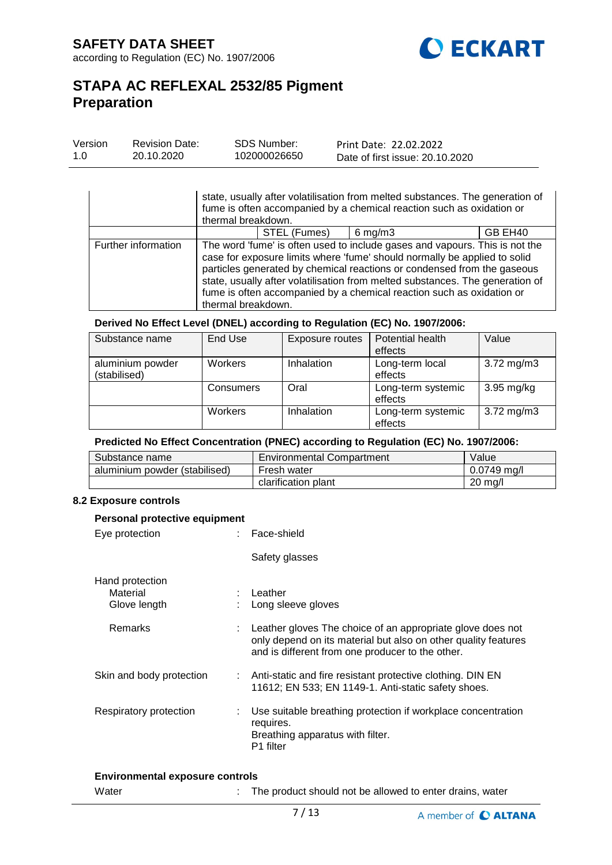

| Version | <b>Revision Date:</b> | <b>SDS Number:</b> | Print Date: 22.02.2022          |
|---------|-----------------------|--------------------|---------------------------------|
| 1.0     | 20.10.2020            | 102000026650       | Date of first issue: 20.10.2020 |

|                     | state, usually after volatilisation from melted substances. The generation of<br>fume is often accompanied by a chemical reaction such as oxidation or<br>thermal breakdown.                                                                                                                                                                                                                                        |  |  |  |
|---------------------|---------------------------------------------------------------------------------------------------------------------------------------------------------------------------------------------------------------------------------------------------------------------------------------------------------------------------------------------------------------------------------------------------------------------|--|--|--|
|                     | STEL (Fumes)<br>$6$ mg/m $3$<br>GB EH40                                                                                                                                                                                                                                                                                                                                                                             |  |  |  |
| Further information | The word 'fume' is often used to include gases and vapours. This is not the<br>case for exposure limits where 'fume' should normally be applied to solid<br>particles generated by chemical reactions or condensed from the gaseous<br>state, usually after volatilisation from melted substances. The generation of<br>fume is often accompanied by a chemical reaction such as oxidation or<br>thermal breakdown. |  |  |  |

### **Derived No Effect Level (DNEL) according to Regulation (EC) No. 1907/2006:**

| Substance name   | End Use   | Exposure routes | Potential health   | Value                   |
|------------------|-----------|-----------------|--------------------|-------------------------|
|                  |           |                 | effects            |                         |
| aluminium powder | Workers   | Inhalation      | Long-term local    | $3.72 \,\mathrm{mg/m3}$ |
| (stabilised)     |           |                 | effects            |                         |
|                  | Consumers | Oral            | Long-term systemic | $3.95 \text{ mg/kg}$    |
|                  |           |                 | effects            |                         |
|                  | Workers   | Inhalation      | Long-term systemic | $3.72 \,\mathrm{mg/m3}$ |
|                  |           |                 | effects            |                         |

### **Predicted No Effect Concentration (PNEC) according to Regulation (EC) No. 1907/2006:**

| Substance name                | <b>Environmental Compartment</b> | Value             |
|-------------------------------|----------------------------------|-------------------|
| aluminium powder (stabilised) | Fresh water                      | $0.0749$ ma/l     |
|                               | clarification plant              | $20 \text{ mg/l}$ |

### **8.2 Exposure controls**

| Personal protective equipment                                                                                                                                                    |  |  |  |  |
|----------------------------------------------------------------------------------------------------------------------------------------------------------------------------------|--|--|--|--|
| : Face-shield                                                                                                                                                                    |  |  |  |  |
| Safety glasses                                                                                                                                                                   |  |  |  |  |
| : Leather<br>Long sleeve gloves                                                                                                                                                  |  |  |  |  |
| Leather gloves The choice of an appropriate glove does not<br>only depend on its material but also on other quality features<br>and is different from one producer to the other. |  |  |  |  |
| : Anti-static and fire resistant protective clothing. DIN EN<br>11612; EN 533; EN 1149-1. Anti-static safety shoes.                                                              |  |  |  |  |
| Use suitable breathing protection if workplace concentration<br>requires.<br>Breathing apparatus with filter.<br>P1 filter                                                       |  |  |  |  |
|                                                                                                                                                                                  |  |  |  |  |

#### **Environmental exposure controls**

Water **:** The product should not be allowed to enter drains, water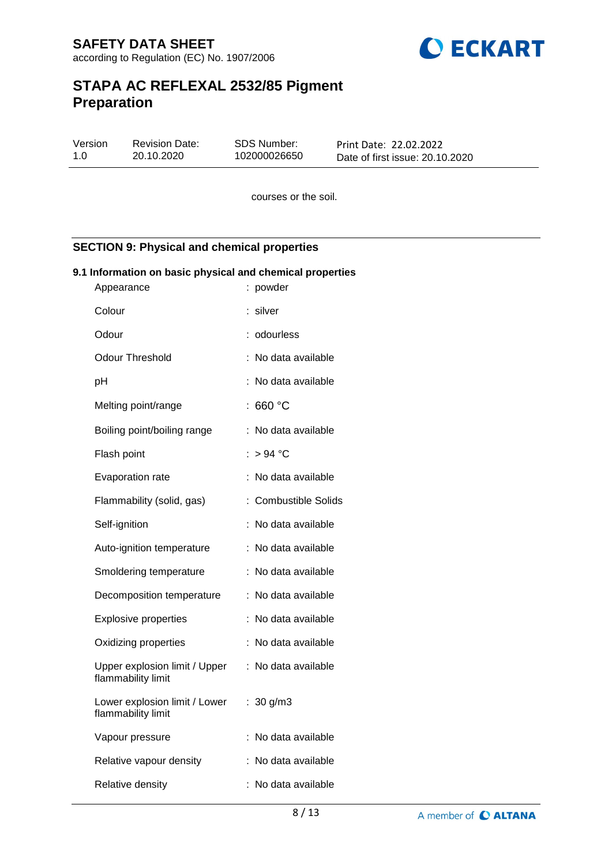

| Version | <b>Revision Date:</b> | SDS Number:  | Print Date: 22.02.2022          |
|---------|-----------------------|--------------|---------------------------------|
| 1.0     | 20.10.2020            | 102000026650 | Date of first issue: 20.10.2020 |

courses or the soil.

# **SECTION 9: Physical and chemical properties**

### **9.1 Information on basic physical and chemical properties**

| Appearance                                          | : powder                  |
|-----------------------------------------------------|---------------------------|
| Colour                                              | silver                    |
| Odour                                               | odourless                 |
| Odour Threshold                                     | No data available         |
| рH                                                  | No data available         |
| Melting point/range                                 | 660 °C                    |
| Boiling point/boiling range                         | No data available         |
| Flash point                                         | $>94$ °C                  |
| Evaporation rate                                    | No data available         |
| Flammability (solid, gas)                           | <b>Combustible Solids</b> |
| Self-ignition                                       | No data available         |
| Auto-ignition temperature                           | No data available         |
| Smoldering temperature                              | No data available         |
| Decomposition temperature                           | No data available         |
| <b>Explosive properties</b>                         | No data available         |
| Oxidizing properties                                | No data available         |
| Upper explosion limit / Upper<br>flammability limit | No data available<br>۰.   |
| Lower explosion limit / Lower<br>flammability limit | : $30 g/m3$               |
| Vapour pressure                                     | No data available         |
| Relative vapour density                             | No data available         |
| Relative density                                    | No data available         |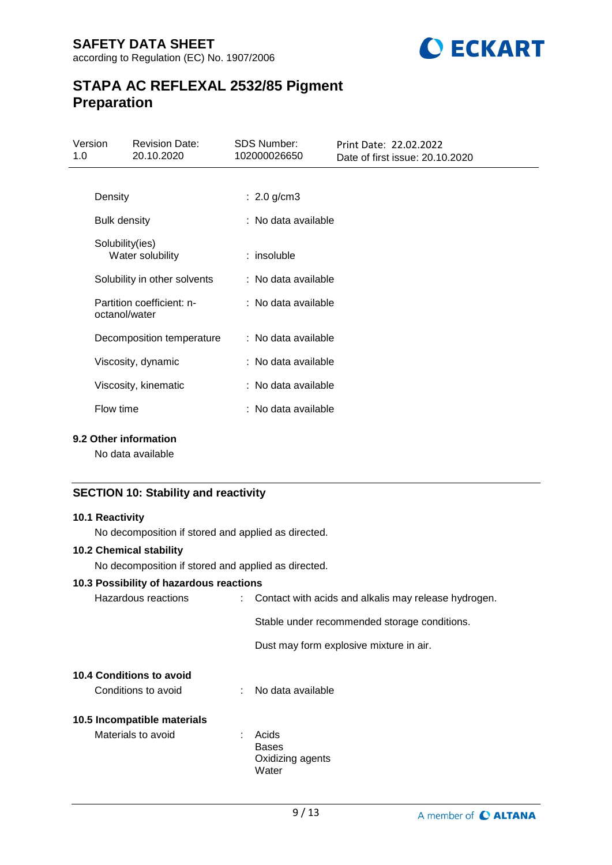

| Version<br>1.0 |                                     | <b>Revision Date:</b><br>20.10.2020 | <b>SDS Number:</b><br>102000026650 | Print Date: 22.02.2022<br>Date of first issue: 20.10.2020 |
|----------------|-------------------------------------|-------------------------------------|------------------------------------|-----------------------------------------------------------|
|                |                                     |                                     |                                    |                                                           |
|                | Density                             |                                     | : $2.0$ g/cm3                      |                                                           |
|                | <b>Bulk density</b>                 |                                     | : No data available                |                                                           |
|                | Solubility(ies)<br>Water solubility |                                     | $:$ insoluble                      |                                                           |
|                |                                     | Solubility in other solvents        | : No data available                |                                                           |
|                | octanol/water                       | Partition coefficient: n-           | : No data available                |                                                           |
|                |                                     | Decomposition temperature           | : No data available                |                                                           |
|                |                                     | Viscosity, dynamic                  | : No data available                |                                                           |
|                |                                     | Viscosity, kinematic                | : No data available                |                                                           |
|                | Flow time                           |                                     | : No data available                |                                                           |

### **9.2 Other information**

No data available

# **SECTION 10: Stability and reactivity**

### **10.1 Reactivity**

No decomposition if stored and applied as directed.

### **10.2 Chemical stability**

No decomposition if stored and applied as directed.

### **10.3 Possibility of hazardous reactions**

| Hazardous reactions             | : Contact with acids and alkalis may release hydrogen. |                                              |
|---------------------------------|--------------------------------------------------------|----------------------------------------------|
|                                 |                                                        | Stable under recommended storage conditions. |
|                                 |                                                        | Dust may form explosive mixture in air.      |
| <b>10.4 Conditions to avoid</b> |                                                        |                                              |
| Conditions to avoid             |                                                        | : No data available                          |
| 10.5 Incompatible materials     |                                                        |                                              |
| Materials to avoid              | ÷                                                      | Acids                                        |
|                                 |                                                        | <b>Bases</b>                                 |
|                                 |                                                        | Oxidizing agents                             |
|                                 |                                                        | Water                                        |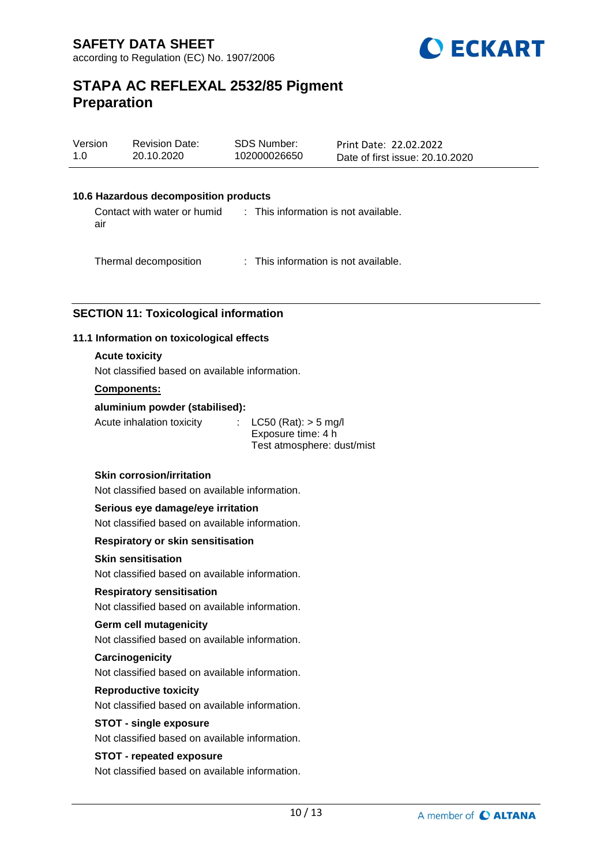

| Version | <b>Revision Date:</b> | SDS Number:  | Print Date: 22.02.2022          |
|---------|-----------------------|--------------|---------------------------------|
| 1.0     | 20.10.2020            | 102000026650 | Date of first issue: 20.10.2020 |

### **10.6 Hazardous decomposition products**

Contact with water or humid air : This information is not available.

Thermal decomposition : This information is not available.

### **SECTION 11: Toxicological information**

### **11.1 Information on toxicological effects**

### **Acute toxicity**

Not classified based on available information.

### **Components:**

#### **aluminium powder (stabilised):**

Acute inhalation toxicity : LC50 (Rat): > 5 mg/l

Exposure time: 4 h Test atmosphere: dust/mist

### **Skin corrosion/irritation**

Not classified based on available information.

#### **Serious eye damage/eye irritation**

Not classified based on available information.

#### **Respiratory or skin sensitisation**

### **Skin sensitisation**

Not classified based on available information.

### **Respiratory sensitisation**

Not classified based on available information.

### **Germ cell mutagenicity**

Not classified based on available information.

### **Carcinogenicity**

Not classified based on available information.

#### **Reproductive toxicity**

Not classified based on available information.

### **STOT - single exposure**

Not classified based on available information.

### **STOT - repeated exposure**

Not classified based on available information.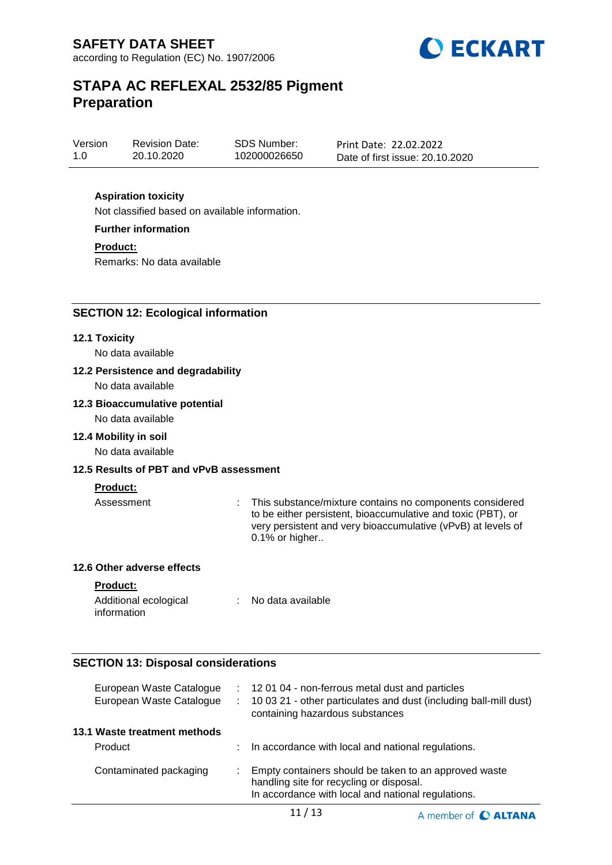

Version 1.0 Revision Date: 20.10.2020

SDS Number: 102000026650

Print Date: 22.02.2022 Date of first issue: 20.10.2020

## **Aspiration toxicity**

Not classified based on available information.

**Further information**

**Product:**

Remarks: No data available

### **SECTION 12: Ecological information**

### **12.1 Toxicity**

No data available

### **12.2 Persistence and degradability**

No data available

### **12.3 Bioaccumulative potential**

No data available

### **12.4 Mobility in soil**

No data available

### **12.5 Results of PBT and vPvB assessment**

### **Product:**

Assessment : This substance/mixture contains no components considered to be either persistent, bioaccumulative and toxic (PBT), or very persistent and very bioaccumulative (vPvB) at levels of 0.1% or higher..

A member of C ALTANA

### **12.6 Other adverse effects**

**Product:**

| Additional ecological | No data available |
|-----------------------|-------------------|
| information           |                   |

### **SECTION 13: Disposal considerations**

| European Waste Catalogue<br>European Waste Catalogue | ÷. | : 12 01 04 - non-ferrous metal dust and particles<br>10 03 21 - other particulates and dust (including ball-mill dust)<br>containing hazardous substances |
|------------------------------------------------------|----|-----------------------------------------------------------------------------------------------------------------------------------------------------------|
| 13.1 Waste treatment methods                         |    |                                                                                                                                                           |
| Product                                              |    | In accordance with local and national regulations.                                                                                                        |
| Contaminated packaging                               |    | Empty containers should be taken to an approved waste<br>handling site for recycling or disposal.<br>In accordance with local and national regulations.   |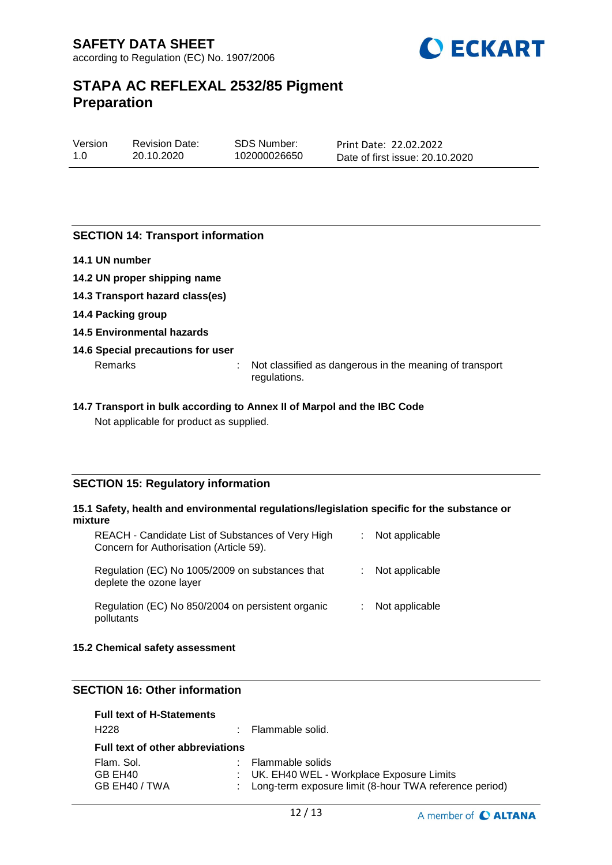

| Version | <b>Revision Date:</b> | <b>SDS Number:</b> |
|---------|-----------------------|--------------------|
| 1.0     | 20.10.2020            | 102000026650       |

Print Date: 22.02.2022 Date of first issue: 20.10.2020

### **SECTION 14: Transport information**

- **14.1 UN number**
- **14.2 UN proper shipping name**
- **14.3 Transport hazard class(es)**
- **14.4 Packing group**
- **14.5 Environmental hazards**

### **14.6 Special precautions for user**

Remarks : Not classified as dangerous in the meaning of transport regulations.

### **14.7 Transport in bulk according to Annex II of Marpol and the IBC Code** Not applicable for product as supplied.

### **SECTION 15: Regulatory information**

#### **15.1 Safety, health and environmental regulations/legislation specific for the substance or mixture**

| REACH - Candidate List of Substances of Very High<br>Concern for Authorisation (Article 59). | ÷. | Not applicable |
|----------------------------------------------------------------------------------------------|----|----------------|
| Regulation (EC) No 1005/2009 on substances that<br>deplete the ozone layer                   |    | Not applicable |
| Regulation (EC) No 850/2004 on persistent organic<br>pollutants                              |    | Not applicable |

### **15.2 Chemical safety assessment**

# **SECTION 16: Other information**

| <b>Full text of H-Statements</b>        |  |                                                          |  |
|-----------------------------------------|--|----------------------------------------------------------|--|
| H <sub>228</sub>                        |  | : Flammable solid.                                       |  |
| <b>Full text of other abbreviations</b> |  |                                                          |  |
| Flam, Sol.                              |  | : Flammable solids                                       |  |
| GB EH40                                 |  | : UK. EH40 WEL - Workplace Exposure Limits               |  |
| GB EH40 / TWA                           |  | : Long-term exposure limit (8-hour TWA reference period) |  |